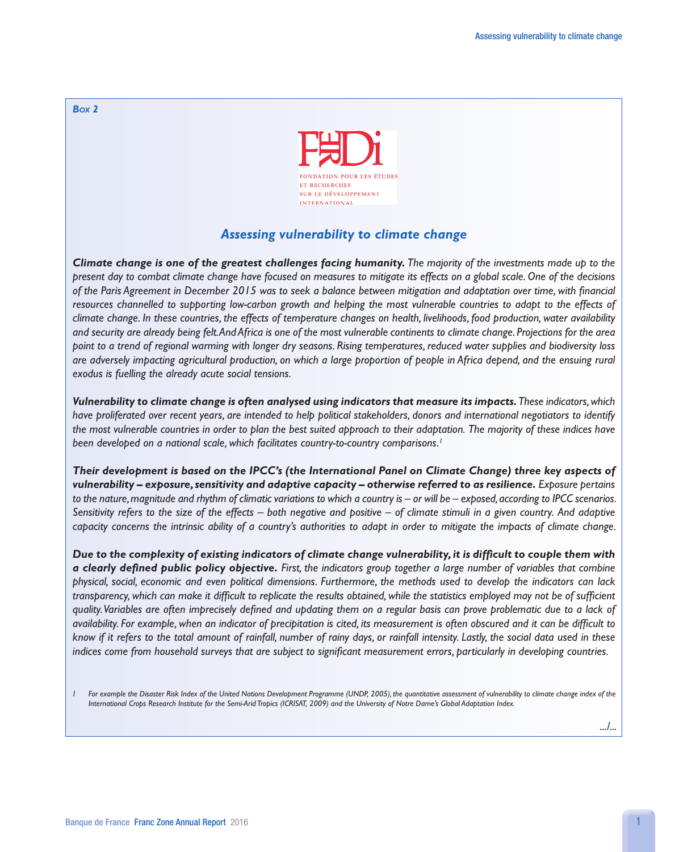

## *Assessing vulnerability to climate change*

*Climate change is one of the greatest challenges facing humanity. The majority of the investments made up to the present day to combat climate change have focused on measures to mitigate its effects on a global scale. One of the decisions of the Paris Agreement in December 2015 was to seek a balance between mitigation and adaptation over time, with financial*  resources channelled to supporting low-carbon growth and helping the most vulnerable countries to adapt to the effects of *climate change. In these countries, the effects of temperature changes on health, livelihoods, food production, water availability and security are already being felt. And Africa is one of the most vulnerable continents to climate change. Projections for the area point to a trend of regional warming with longer dry seasons. Rising temperatures, reduced water supplies and biodiversity loss are adversely impacting agricultural production, on which a large proportion of people in Africa depend, and the ensuing rural exodus is fuelling the already acute social tensions.*

*Vulnerability to climate change is often analysed using indicators that measure its impacts. These indicators, which have proliferated over recent years, are intended to help political stakeholders, donors and international negotiators to identify the most vulnerable countries in order to plan the best suited approach to their adaptation. The majority of these indices have been developed on a national scale, which facilitates country-to-country comparisons.1*

*Their development is based on the IPCC's (the International Panel on Climate Change) three key aspects of vulnerability – exposure, sensitivity and adaptive capacity – otherwise referred to as resilience. Exposure pertains to the nature, magnitude and rhythm of climatic variations to which a country is – or will be – exposed, according to IPCC scenarios. Sensitivity refers to the size of the effects – both negative and positive – of climate stimuli in a given country. And adaptive capacity concerns the intrinsic ability of a country's authorities to adapt in order to mitigate the impacts of climate change.* 

*Due to the complexity of existing indicators of climate change vulnerability, it is difficult to couple them with a clearly defined public policy objective. First, the indicators group together a large number of variables that combine physical, social, economic and even political dimensions. Furthermore, the methods used to develop the indicators can lack transparency, which can make it difficult to replicate the results obtained, while the statistics employed may not be of sufficient quality. Variables are often imprecisely defined and updating them on a regular basis can prove problematic due to a lack of availability. For example, when an indicator of precipitation is cited, its measurement is often obscured and it can be difficult to know if it refers to the total amount of rainfall, number of rainy days, or rainfall intensity. Lastly, the social data used in these indices come from household surveys that are subject to significant measurement errors, particularly in developing countries.*

*.../...*

*<sup>1</sup>* For example the Disaster Risk Index of the United Nations Development Programme (UNDP, 2005), the quantitative assessment of vulnerability to climate change index of the *International Crops Research Institute for the Semi-Arid Tropics (ICRISAT, 2009) and the University of Notre Dame's Global Adaptation Index.*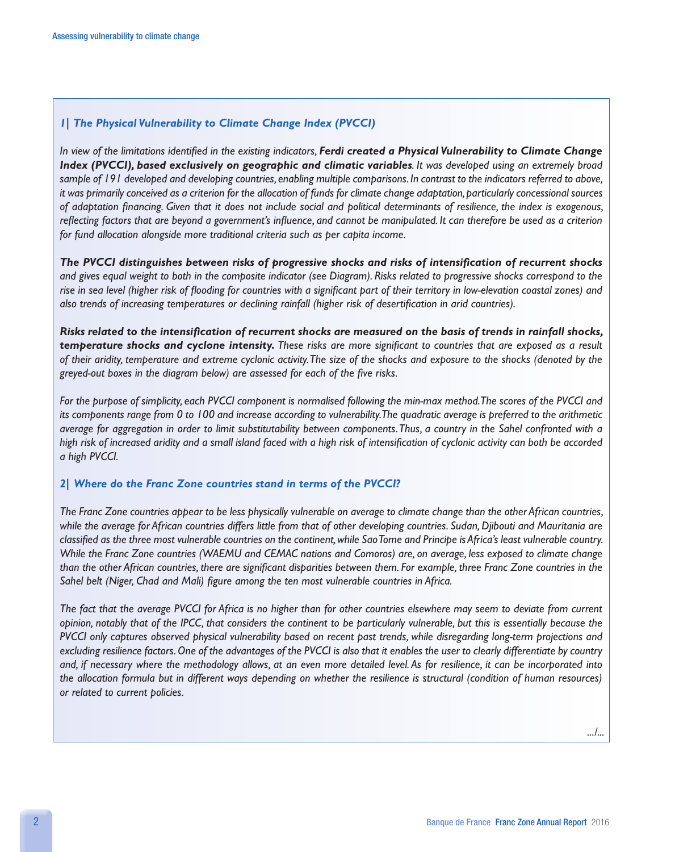## *1| The Physical Vulnerability to Climate Change Index (PVCCI)*

*In view of the limitations identified in the existing indicators, Ferdi created a Physical Vulnerability to Climate Change Index (PVCCI), based exclusively on geographic and climatic variables. It was developed using an extremely broad sample of 191 developed and developing countries, enabling multiple comparisons. In contrast to the indicators referred to above,*  it was primarily conceived as a criterion for the allocation of funds for climate change adaptation, particularly concessional sources *of adaptation financing. Given that it does not include social and political determinants of resilience, the index is exogenous, reflecting factors that are beyond a government's influence, and cannot be manipulated. It can therefore be used as a criterion for fund allocation alongside more traditional criteria such as per capita income.* 

*The PVCCI distinguishes between risks of progressive shocks and risks of intensification of recurrent shocks and gives equal weight to both in the composite indicator (see Diagram). Risks related to progressive shocks correspond to the rise in sea level (higher risk of flooding for countries with a significant part of their territory in low-elevation coastal zones) and also trends of increasing temperatures or declining rainfall (higher risk of desertification in arid countries).* 

*Risks related to the intensification of recurrent shocks are measured on the basis of trends in rainfall shocks, temperature shocks and cyclone intensity. These risks are more significant to countries that are exposed as a result of their aridity, temperature and extreme cyclonic activity. The size of the shocks and exposure to the shocks (denoted by the greyed-out boxes in the diagram below) are assessed for each of the five risks.* 

*For the purpose of simplicity, each PVCCI component is normalised following the min-max method. The scores of the PVCCI and its components range from 0 to 100 and increase according to vulnerability. The quadratic average is preferred to the arithmetic average for aggregation in order to limit substitutability between components. Thus, a country in the Sahel confronted with a high risk of increased aridity and a small island faced with a high risk of intensification of cyclonic activity can both be accorded a high PVCCI.* 

## *2| Where do the Franc Zone countries stand in terms of the PVCCI?*

*The Franc Zone countries appear to be less physically vulnerable on average to climate change than the other African countries, while the average for African countries differs little from that of other developing countries. Sudan, Djibouti and Mauritania are classified as the three most vulnerable countries on the continent, while Sao Tome and Principe is Africa's least vulnerable country. While the Franc Zone countries (WAEMU and CEMAC nations and Comoros) are, on average, less exposed to climate change than the other African countries, there are significant disparities between them. For example, three Franc Zone countries in the Sahel belt (Niger, Chad and Mali) figure among the ten most vulnerable countries in Africa.* 

*The fact that the average PVCCI for Africa is no higher than for other countries elsewhere may seem to deviate from current opinion, notably that of the IPCC, that considers the continent to be particularly vulnerable, but this is essentially because the PVCCI only captures observed physical vulnerability based on recent past trends, while disregarding long-term projections and excluding resilience factors. One of the advantages of the PVCCI is also that it enables the user to clearly differentiate by country and, if necessary where the methodology allows, at an even more detailed level. As for resilience, it can be incorporated into the allocation formula but in different ways depending on whether the resilience is structural (condition of human resources) or related to current policies.*

*.../...*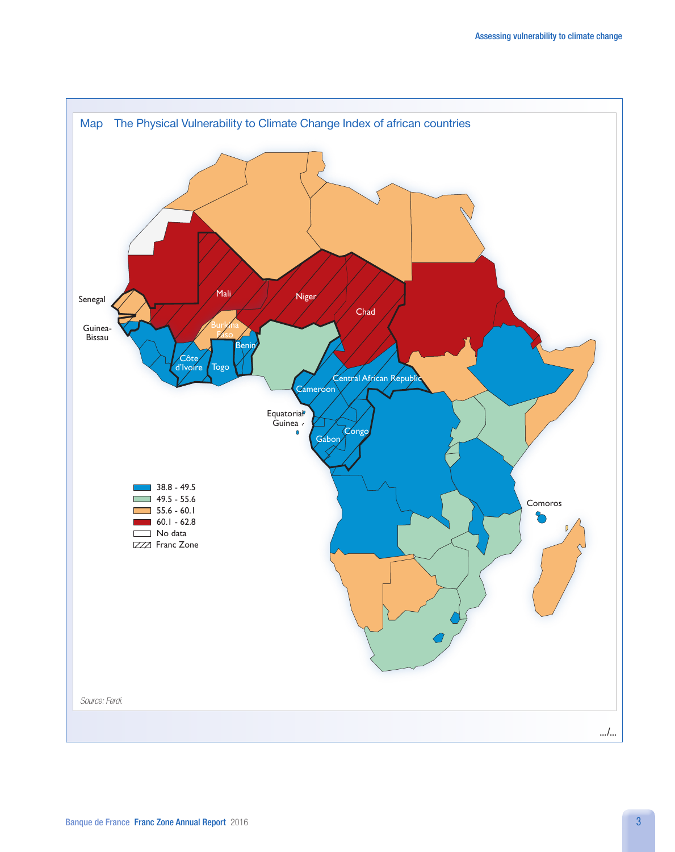